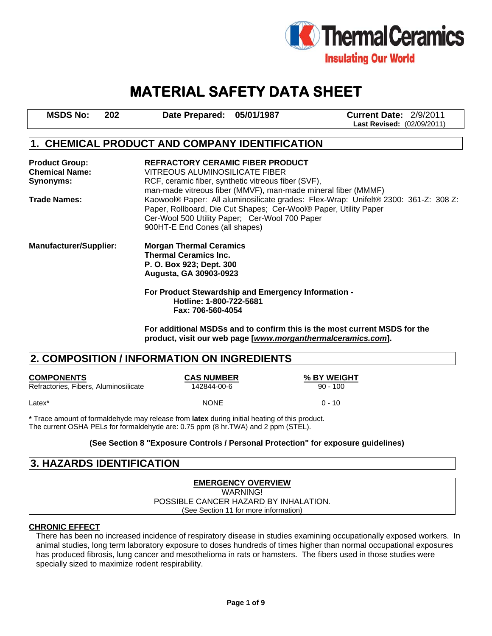

# **MATERIAL SAFETY DATA SHEET**

| <b>MSDS No:</b> | 202 | Date Prepared: 05/01/1987 | <b>Current Date: 2/9/2011</b>     |
|-----------------|-----|---------------------------|-----------------------------------|
|                 |     |                           | <b>Last Revised: (02/09/2011)</b> |

# **1. CHEMICAL PRODUCT AND COMPANY IDENTIFICATION**

| <b>Product Group:</b><br><b>Chemical Name:</b> | <b>REFRACTORY CERAMIC FIBER PRODUCT</b><br>VITREOUS ALUMINOSILICATE FIBER                                                                                                                                                                   |
|------------------------------------------------|---------------------------------------------------------------------------------------------------------------------------------------------------------------------------------------------------------------------------------------------|
| Synonyms:                                      | RCF, ceramic fiber, synthetic vitreous fiber (SVF),<br>man-made vitreous fiber (MMVF), man-made mineral fiber (MMMF)                                                                                                                        |
| <b>Trade Names:</b>                            | Kaowool® Paper: All aluminosilicate grades: Flex-Wrap: Unifelt® 2300: 361-Z: 308 Z:<br>Paper, Rollboard, Die Cut Shapes; Cer-Wool® Paper, Utility Paper<br>Cer-Wool 500 Utility Paper; Cer-Wool 700 Paper<br>900HT-E End Cones (all shapes) |
| <b>Manufacturer/Supplier:</b>                  | <b>Morgan Thermal Ceramics</b><br><b>Thermal Ceramics Inc.</b><br>P. O. Box 923; Dept. 300<br>Augusta, GA 30903-0923                                                                                                                        |
|                                                | For Product Stewardship and Emergency Information -<br>Hotline: 1-800-722-5681<br>Fax: 706-560-4054                                                                                                                                         |

**For additional MSDSs and to confirm this is the most current MSDS for the product, visit our web page [***www.morganthermalceramics.com***].** 

# **2. COMPOSITION / INFORMATION ON INGREDIENTS**

| <b>COMPONENTS</b>                     | <b>CAS NUMBER</b> | % BY WEIGHT |
|---------------------------------------|-------------------|-------------|
| Refractories, Fibers, Aluminosilicate | 142844-00-6       | $90 - 100$  |
| Latex <sup>*</sup>                    | <b>NONE</b>       | $0 - 10$    |

**\*** Trace amount of formaldehyde may release from **latex** during initial heating of this product. The current OSHA PELs for formaldehyde are: 0.75 ppm (8 hr.TWA) and 2 ppm (STEL).

#### **(See Section 8 "Exposure Controls / Personal Protection" for exposure guidelines)**

# **3. HAZARDS IDENTIFICATION**

#### **EMERGENCY OVERVIEW** WARNING! POSSIBLE CANCER HAZARD BY INHALATION. (See Section 11 for more information)

#### **CHRONIC EFFECT**

There has been no increased incidence of respiratory disease in studies examining occupationally exposed workers. In animal studies, long term laboratory exposure to doses hundreds of times higher than normal occupational exposures has produced fibrosis, lung cancer and mesothelioma in rats or hamsters. The fibers used in those studies were specially sized to maximize rodent respirability.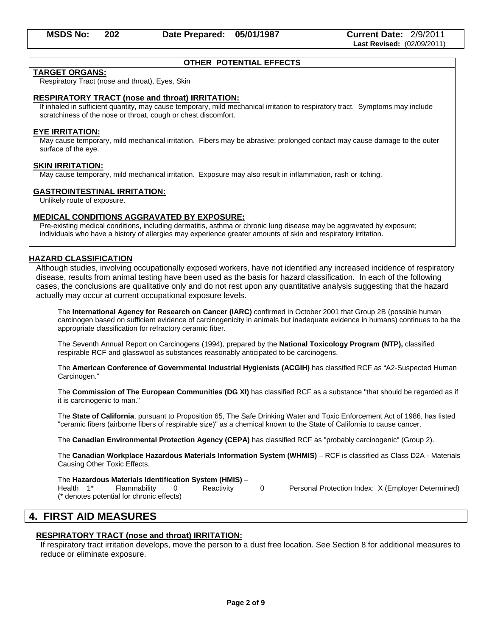#### **OTHER POTENTIAL EFFECTS**

#### **TARGET ORGANS:**

Respiratory Tract (nose and throat), Eyes, Skin

#### **RESPIRATORY TRACT (nose and throat) IRRITATION:**

If inhaled in sufficient quantity, may cause temporary, mild mechanical irritation to respiratory tract. Symptoms may include scratchiness of the nose or throat, cough or chest discomfort.

#### **EYE IRRITATION:**

May cause temporary, mild mechanical irritation. Fibers may be abrasive; prolonged contact may cause damage to the outer surface of the eye.

#### **SKIN IRRITATION:**

May cause temporary, mild mechanical irritation. Exposure may also result in inflammation, rash or itching.

#### **GASTROINTESTINAL IRRITATION:**

Unlikely route of exposure.

#### **MEDICAL CONDITIONS AGGRAVATED BY EXPOSURE:**

Pre-existing medical conditions, including dermatitis, asthma or chronic lung disease may be aggravated by exposure; individuals who have a history of allergies may experience greater amounts of skin and respiratory irritation.

#### **HAZARD CLASSIFICATION**

Although studies, involving occupationally exposed workers, have not identified any increased incidence of respiratory disease, results from animal testing have been used as the basis for hazard classification. In each of the following cases, the conclusions are qualitative only and do not rest upon any quantitative analysis suggesting that the hazard actually may occur at current occupational exposure levels.

The **International Agency for Research on Cancer (IARC)** confirmed in October 2001 that Group 2B (possible human carcinogen based on sufficient evidence of carcinogenicity in animals but inadequate evidence in humans) continues to be the appropriate classification for refractory ceramic fiber.

The Seventh Annual Report on Carcinogens (1994), prepared by the **National Toxicology Program (NTP),** classified respirable RCF and glasswool as substances reasonably anticipated to be carcinogens.

The **American Conference of Governmental Industrial Hygienists (ACGIH)** has classified RCF as "A2-Suspected Human Carcinogen."

The **Commission of The European Communities (DG XI)** has classified RCF as a substance "that should be regarded as if it is carcinogenic to man."

The **State of California**, pursuant to Proposition 65, The Safe Drinking Water and Toxic Enforcement Act of 1986, has listed "ceramic fibers (airborne fibers of respirable size)" as a chemical known to the State of California to cause cancer.

The **Canadian Environmental Protection Agency (CEPA)** has classified RCF as "probably carcinogenic" (Group 2).

The **Canadian Workplace Hazardous Materials Information System (WHMIS)** – RCF is classified as Class D2A - Materials Causing Other Toxic Effects.

The **Hazardous Materials Identification System (HMIS)** –

Health 1<sup>\*</sup> Flammability 0 Reactivity 0 Personal Protection Index: X (Employer Determined) (\* denotes potential for chronic effects)

# **4. FIRST AID MEASURES**

#### **RESPIRATORY TRACT (nose and throat) IRRITATION:**

If respiratory tract irritation develops, move the person to a dust free location. See Section 8 for additional measures to reduce or eliminate exposure.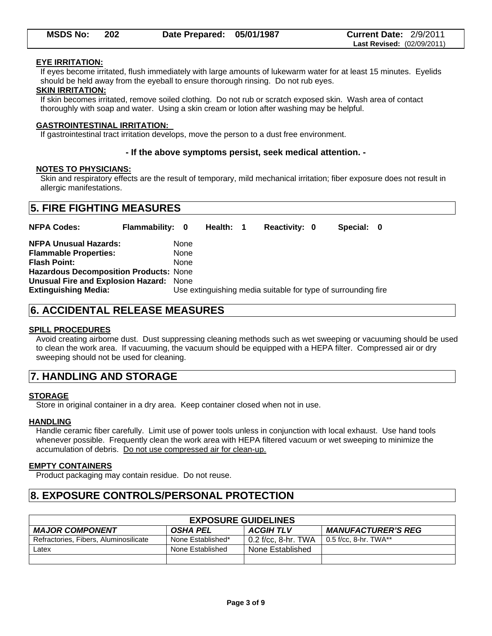| <b>MSDS No:</b> | 202 | Date Prepared: 05/01/1987 | <b>Current Date: 2/9/2011</b>     |
|-----------------|-----|---------------------------|-----------------------------------|
|                 |     |                           | <b>Last Revised: (02/09/2011)</b> |

#### **EYE IRRITATION:**

If eyes become irritated, flush immediately with large amounts of lukewarm water for at least 15 minutes. Eyelids should be held away from the eyeball to ensure thorough rinsing. Do not rub eyes.

#### **SKIN IRRITATION:**

If skin becomes irritated, remove soiled clothing. Do not rub or scratch exposed skin. Wash area of contact thoroughly with soap and water. Using a skin cream or lotion after washing may be helpful.

#### **GASTROINTESTINAL IRRITATION:**

If gastrointestinal tract irritation develops, move the person to a dust free environment.

#### **- If the above symptoms persist, seek medical attention. -**

#### **NOTES TO PHYSICIANS:**

Skin and respiratory effects are the result of temporary, mild mechanical irritation; fiber exposure does not result in allergic manifestations.

| <b>NFPA Codes:</b>                                                                                                                                                                                             | <b>Flammability: 0</b> |                      | Health: 1 | Reactivity: 0                                                 | Special: 0 |  |
|----------------------------------------------------------------------------------------------------------------------------------------------------------------------------------------------------------------|------------------------|----------------------|-----------|---------------------------------------------------------------|------------|--|
| <b>NFPA Unusual Hazards:</b><br><b>Flammable Properties:</b><br><b>Flash Point:</b><br>Hazardous Decomposition Products: None<br><b>Unusual Fire and Explosion Hazard: None</b><br><b>Extinguishing Media:</b> |                        | None<br>None<br>None |           | Use extinguishing media suitable for type of surrounding fire |            |  |

# **6. ACCIDENTAL RELEASE MEASURES**

#### **SPILL PROCEDURES**

Avoid creating airborne dust. Dust suppressing cleaning methods such as wet sweeping or vacuuming should be used to clean the work area. If vacuuming, the vacuum should be equipped with a HEPA filter. Compressed air or dry sweeping should not be used for cleaning.

# **7. HANDLING AND STORAGE**

#### **STORAGE**

Store in original container in a dry area. Keep container closed when not in use.

#### **HANDLING**

Handle ceramic fiber carefully. Limit use of power tools unless in conjunction with local exhaust. Use hand tools whenever possible. Frequently clean the work area with HEPA filtered vacuum or wet sweeping to minimize the accumulation of debris. Do not use compressed air for clean-up.

#### **EMPTY CONTAINERS**

Product packaging may contain residue. Do not reuse.

# **8. EXPOSURE CONTROLS/PERSONAL PROTECTION**

| <b>EXPOSURE GUIDELINES</b>            |                   |                     |                           |  |  |
|---------------------------------------|-------------------|---------------------|---------------------------|--|--|
| <b>MAJOR COMPONENT</b>                | OSHA PEL          | <b>ACGIHTLV</b>     | <b>MANUFACTURER'S REG</b> |  |  |
| Refractories, Fibers, Aluminosilicate | None Established* | 0.2 f/cc, 8-hr. TWA | $0.5$ f/cc. 8-hr. TWA**   |  |  |
| Latex                                 | None Established  | None Established    |                           |  |  |
|                                       |                   |                     |                           |  |  |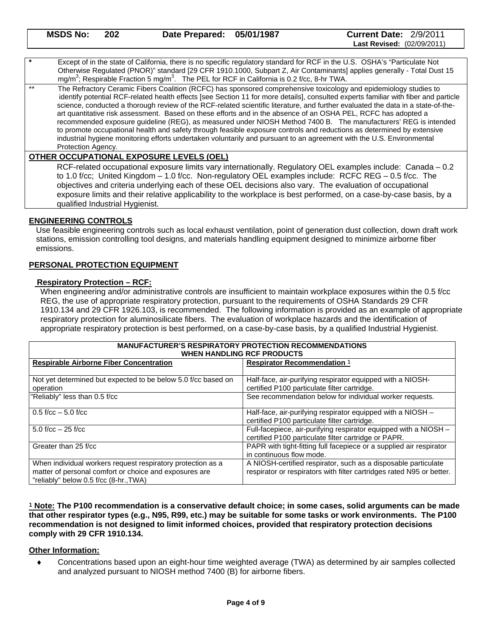Except of in the state of California, there is no specific regulatory standard for RCF in the U.S. OSHA's "Particulate Not Otherwise Regulated (PNOR)" standard [29 CFR 1910.1000, Subpart Z, Air Contaminants] applies generally - Total Dust 15 mg/m<sup>3</sup>; Respirable Fraction 5 mg/m<sup>3</sup>. The PEL for RCF in California is 0.2 f/cc, 8-hr TWA.

The Refractory Ceramic Fibers Coalition (RCFC) has sponsored comprehensive toxicology and epidemiology studies to identify potential RCF-related health effects [see Section 11 for more details], consulted experts familiar with fiber and particle science, conducted a thorough review of the RCF-related scientific literature, and further evaluated the data in a state-of-the art quantitative risk assessment. Based on these efforts and in the absence of an OSHA PEL, RCFC has adopted a recommended exposure guideline (REG), as measured under NIOSH Method 7400 B. The manufacturers' REG is intended to promote occupational health and safety through feasible exposure controls and reductions as determined by extensive industrial hygiene monitoring efforts undertaken voluntarily and pursuant to an agreement with the U.S. Environmental Protection Agency.

#### **OTHER OCCUPATIONAL EXPOSURE LEVELS (OEL)**

RCF-related occupational exposure limits vary internationally. Regulatory OEL examples include: Canada – 0.2 to 1.0 f/cc; United Kingdom – 1.0 f/cc. Non-regulatory OEL examples include: RCFC REG – 0.5 f/cc. The objectives and criteria underlying each of these OEL decisions also vary. The evaluation of occupational exposure limits and their relative applicability to the workplace is best performed, on a case-by-case basis, by a qualified Industrial Hygienist.

#### **ENGINEERING CONTROLS**

Use feasible engineering controls such as local exhaust ventilation, point of generation dust collection, down draft work stations, emission controlling tool designs, and materials handling equipment designed to minimize airborne fiber emissions.

#### **PERSONAL PROTECTION EQUIPMENT**

#### **Respiratory Protection – RCF:**

When engineering and/or administrative controls are insufficient to maintain workplace exposures within the 0.5 f/cc REG, the use of appropriate respiratory protection, pursuant to the requirements of OSHA Standards 29 CFR 1910.134 and 29 CFR 1926.103, is recommended. The following information is provided as an example of appropriate respiratory protection for aluminosilicate fibers. The evaluation of workplace hazards and the identification of appropriate respiratory protection is best performed, on a case-by-case basis, by a qualified Industrial Hygienist.

| <b>MANUFACTURER'S RESPIRATORY PROTECTION RECOMMENDATIONS</b><br><b>WHEN HANDLING RCF PRODUCTS</b>                                                               |                                                                                                                                         |  |  |
|-----------------------------------------------------------------------------------------------------------------------------------------------------------------|-----------------------------------------------------------------------------------------------------------------------------------------|--|--|
| <b>Respirable Airborne Fiber Concentration</b>                                                                                                                  | <b>Respirator Recommendation 1</b>                                                                                                      |  |  |
| Not yet determined but expected to be below 5.0 f/cc based on<br>operation                                                                                      | Half-face, air-purifying respirator equipped with a NIOSH-<br>certified P100 particulate filter cartridge.                              |  |  |
| "Reliably" less than 0.5 f/cc                                                                                                                                   | See recommendation below for individual worker requests.                                                                                |  |  |
| $0.5$ f/cc $-5.0$ f/cc                                                                                                                                          | Half-face, air-purifying respirator equipped with a NIOSH -<br>certified P100 particulate filter cartridge.                             |  |  |
| $5.0$ f/cc $-25$ f/cc                                                                                                                                           | Full-facepiece, air-purifying respirator equipped with a NIOSH -<br>certified P100 particulate filter cartridge or PAPR.                |  |  |
| Greater than 25 f/cc                                                                                                                                            | PAPR with tight-fitting full facepiece or a supplied air respirator<br>in continuous flow mode.                                         |  |  |
| When individual workers request respiratory protection as a<br>matter of personal comfort or choice and exposures are<br>"reliably" below 0.5 f/cc (8-hr., TWA) | A NIOSH-certified respirator, such as a disposable particulate<br>respirator or respirators with filter cartridges rated N95 or better. |  |  |

<sup>1</sup> **Note: The P100 recommendation is a conservative default choice; in some cases, solid arguments can be made that other respirator types (e.g., N95, R99, etc.) may be suitable for some tasks or work environments. The P100 recommendation is not designed to limit informed choices, provided that respiratory protection decisions comply with 29 CFR 1910.134.** 

#### **Other Information:**

 Concentrations based upon an eight-hour time weighted average (TWA) as determined by air samples collected and analyzed pursuant to NIOSH method 7400 (B) for airborne fibers.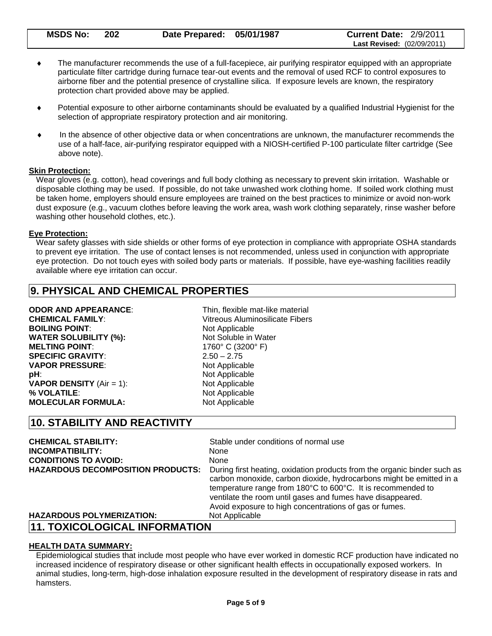| <b>MSDS No:</b> | -202 | Date Prepared: 05/01/1987 | <b>Current Date: 2/9/2011</b>     |
|-----------------|------|---------------------------|-----------------------------------|
|                 |      |                           | <b>Last Revised: (02/09/2011)</b> |

- The manufacturer recommends the use of a full-facepiece, air purifying respirator equipped with an appropriate particulate filter cartridge during furnace tear-out events and the removal of used RCF to control exposures to airborne fiber and the potential presence of crystalline silica. If exposure levels are known, the respiratory protection chart provided above may be applied.
- Potential exposure to other airborne contaminants should be evaluated by a qualified Industrial Hygienist for the selection of appropriate respiratory protection and air monitoring.
- In the absence of other objective data or when concentrations are unknown, the manufacturer recommends the use of a half-face, air-purifying respirator equipped with a NIOSH-certified P-100 particulate filter cartridge (See above note).

#### **Skin Protection:**

Wear gloves (e.g. cotton), head coverings and full body clothing as necessary to prevent skin irritation. Washable or disposable clothing may be used. If possible, do not take unwashed work clothing home. If soiled work clothing must be taken home, employers should ensure employees are trained on the best practices to minimize or avoid non-work dust exposure (e.g., vacuum clothes before leaving the work area, wash work clothing separately, rinse washer before washing other household clothes, etc.).

#### **Eye Protection:**

Wear safety glasses with side shields or other forms of eye protection in compliance with appropriate OSHA standards to prevent eye irritation. The use of contact lenses is not recommended, unless used in conjunction with appropriate eye protection. Do not touch eyes with soiled body parts or materials. If possible, have eye-washing facilities readily available where eye irritation can occur.

# **9. PHYSICAL AND CHEMICAL PROPERTIES**

**BOILING POINT:** Not Applicable **WATER SOLUBILITY (%):** Not Soluble in Water **MELTING POINT:** 1760° C (3200° F) **SPECIFIC GRAVITY**: 2.50 – 2.75 **VAPOR PRESSURE:** Not Applicable **pH**: Not Applicable **VAPOR DENSITY** (Air = 1): Not Applicable % **VOLATILE**: Not Applicable **MOLECULAR FORMULA:** Not Applicable

**ODOR AND APPEARANCE:** Thin, flexible mat-like material **CHEMICAL FAMILY**: Vitreous Aluminosilicate Fibers

## **10. STABILITY AND REACTIVITY**

| <b>CHEMICAL STABILITY:</b>               | Stable under conditions of normal use                                                                                                                                                                                                                                                                                                  |
|------------------------------------------|----------------------------------------------------------------------------------------------------------------------------------------------------------------------------------------------------------------------------------------------------------------------------------------------------------------------------------------|
| <b>INCOMPATIBILITY:</b>                  | <b>None</b>                                                                                                                                                                                                                                                                                                                            |
| <b>CONDITIONS TO AVOID:</b>              | None                                                                                                                                                                                                                                                                                                                                   |
| <b>HAZARDOUS DECOMPOSITION PRODUCTS:</b> | During first heating, oxidation products from the organic binder such as<br>carbon monoxide, carbon dioxide, hydrocarbons might be emitted in a<br>temperature range from 180°C to 600°C. It is recommended to<br>ventilate the room until gases and fumes have disappeared.<br>Avoid exposure to high concentrations of gas or fumes. |
| <b>HAZARDOUS POLYMERIZATION:</b>         | Not Applicable                                                                                                                                                                                                                                                                                                                         |
| 11. TOXICOLOGICAL INFORMATION            |                                                                                                                                                                                                                                                                                                                                        |

#### **HEALTH DATA SUMMARY:**

Epidemiological studies that include most people who have ever worked in domestic RCF production have indicated no increased incidence of respiratory disease or other significant health effects in occupationally exposed workers. In animal studies, long-term, high-dose inhalation exposure resulted in the development of respiratory disease in rats and hamsters.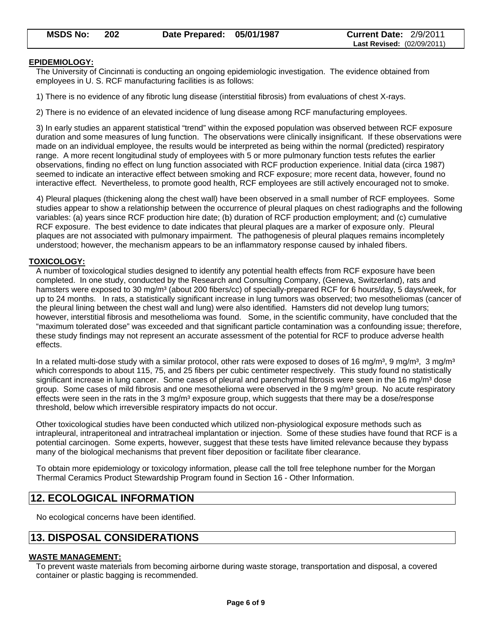#### **EPIDEMIOLOGY:**

The University of Cincinnati is conducting an ongoing epidemiologic investigation. The evidence obtained from employees in U. S. RCF manufacturing facilities is as follows:

1) There is no evidence of any fibrotic lung disease (interstitial fibrosis) from evaluations of chest X-rays.

2) There is no evidence of an elevated incidence of lung disease among RCF manufacturing employees.

3) In early studies an apparent statistical "trend" within the exposed population was observed between RCF exposure duration and some measures of lung function. The observations were clinically insignificant. If these observations were made on an individual employee, the results would be interpreted as being within the normal (predicted) respiratory range. A more recent longitudinal study of employees with 5 or more pulmonary function tests refutes the earlier observations, finding no effect on lung function associated with RCF production experience. Initial data (circa 1987) seemed to indicate an interactive effect between smoking and RCF exposure; more recent data, however, found no interactive effect. Nevertheless, to promote good health, RCF employees are still actively encouraged not to smoke.

4) Pleural plaques (thickening along the chest wall) have been observed in a small number of RCF employees. Some studies appear to show a relationship between the occurrence of pleural plaques on chest radiographs and the following variables: (a) years since RCF production hire date; (b) duration of RCF production employment; and (c) cumulative RCF exposure. The best evidence to date indicates that pleural plaques are a marker of exposure only. Pleural plaques are not associated with pulmonary impairment. The pathogenesis of pleural plaques remains incompletely understood; however, the mechanism appears to be an inflammatory response caused by inhaled fibers.

#### **TOXICOLOGY:**

A number of toxicological studies designed to identify any potential health effects from RCF exposure have been completed. In one study, conducted by the Research and Consulting Company, (Geneva, Switzerland), rats and hamsters were exposed to 30 mg/m<sup>3</sup> (about 200 fibers/cc) of specially-prepared RCF for 6 hours/day, 5 days/week, for up to 24 months. In rats, a statistically significant increase in lung tumors was observed; two mesotheliomas (cancer of the pleural lining between the chest wall and lung) were also identified. Hamsters did not develop lung tumors; however, interstitial fibrosis and mesothelioma was found. Some, in the scientific community, have concluded that the "maximum tolerated dose" was exceeded and that significant particle contamination was a confounding issue; therefore, these study findings may not represent an accurate assessment of the potential for RCF to produce adverse health effects.

In a related multi-dose study with a similar protocol, other rats were exposed to doses of 16 mg/m<sup>3</sup>, 9 mg/m<sup>3</sup>, 3 mg/m<sup>3</sup> which corresponds to about 115, 75, and 25 fibers per cubic centimeter respectively. This study found no statistically significant increase in lung cancer. Some cases of pleural and parenchymal fibrosis were seen in the 16 mg/m<sup>3</sup> dose group. Some cases of mild fibrosis and one mesothelioma were observed in the 9 mg/m<sup>3</sup> group. No acute respiratory effects were seen in the rats in the 3 mg/m<sup>3</sup> exposure group, which suggests that there may be a dose/response threshold, below which irreversible respiratory impacts do not occur.

Other toxicological studies have been conducted which utilized non-physiological exposure methods such as intrapleural, intraperitoneal and intratracheal implantation or injection. Some of these studies have found that RCF is a potential carcinogen. Some experts, however, suggest that these tests have limited relevance because they bypass many of the biological mechanisms that prevent fiber deposition or facilitate fiber clearance.

To obtain more epidemiology or toxicology information, please call the toll free telephone number for the Morgan Thermal Ceramics Product Stewardship Program found in Section 16 - Other Information.

# **12. ECOLOGICAL INFORMATION**

No ecological concerns have been identified.

# **13. DISPOSAL CONSIDERATIONS**

#### **WASTE MANAGEMENT:**

To prevent waste materials from becoming airborne during waste storage, transportation and disposal, a covered container or plastic bagging is recommended.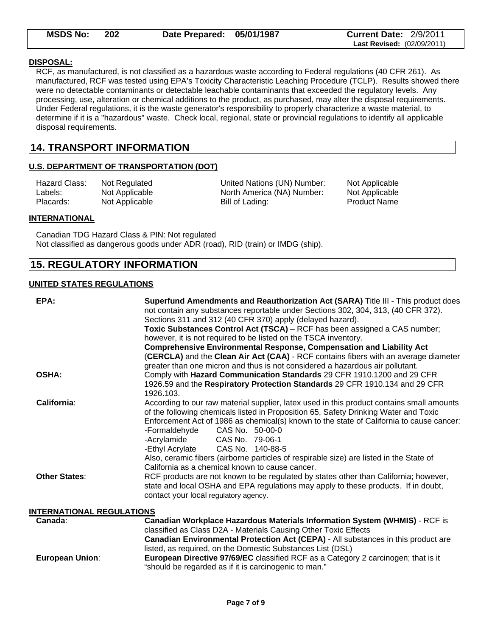| <b>MSDS No:</b> | 202 | Date Prepared: 05/01/1987 | <b>Current Date: 2/9/2011</b>     |
|-----------------|-----|---------------------------|-----------------------------------|
|                 |     |                           | <b>Last Revised: (02/09/2011)</b> |

#### **DISPOSAL:**

RCF, as manufactured, is not classified as a hazardous waste according to Federal regulations (40 CFR 261). As manufactured, RCF was tested using EPA's Toxicity Characteristic Leaching Procedure (TCLP). Results showed there were no detectable contaminants or detectable leachable contaminants that exceeded the regulatory levels. Any processing, use, alteration or chemical additions to the product, as purchased, may alter the disposal requirements. Under Federal regulations, it is the waste generator's responsibility to properly characterize a waste material, to determine if it is a "hazardous" waste. Check local, regional, state or provincial regulations to identify all applicable disposal requirements.

# **14. TRANSPORT INFORMATION**

#### **U.S. DEPARTMENT OF TRANSPORTATION (DOT)**

| Hazard Class: | Not Regulate |
|---------------|--------------|
| Labels:       | Not Applicab |
| Placards:     | Not Applicab |

ed Class Classical Classical Classical Classical Classical Classical Classical Classical Classical Classical C le **North America (NA) Number:** Not Applicable le Bill of Lading: Not Applicable Bill of Lading:

#### **INTERNATIONAL**

Canadian TDG Hazard Class & PIN: Not regulated Not classified as dangerous goods under ADR (road), RID (train) or IMDG (ship).

# **15. REGULATORY INFORMATION**

#### **UNITED STATES REGULATIONS**

| EPA:                             | Superfund Amendments and Reauthorization Act (SARA) Title III - This product does<br>not contain any substances reportable under Sections 302, 304, 313, (40 CFR 372).<br>Sections 311 and 312 (40 CFR 370) apply (delayed hazard).<br>Toxic Substances Control Act (TSCA) – RCF has been assigned a CAS number;                                                                                                                                                                                                                         |
|----------------------------------|------------------------------------------------------------------------------------------------------------------------------------------------------------------------------------------------------------------------------------------------------------------------------------------------------------------------------------------------------------------------------------------------------------------------------------------------------------------------------------------------------------------------------------------|
|                                  | however, it is not required to be listed on the TSCA inventory.                                                                                                                                                                                                                                                                                                                                                                                                                                                                          |
|                                  | <b>Comprehensive Environmental Response, Compensation and Liability Act</b><br>(CERCLA) and the Clean Air Act (CAA) - RCF contains fibers with an average diameter<br>greater than one micron and thus is not considered a hazardous air pollutant.                                                                                                                                                                                                                                                                                      |
| <b>OSHA:</b>                     | Comply with Hazard Communication Standards 29 CFR 1910.1200 and 29 CFR<br>1926.59 and the Respiratory Protection Standards 29 CFR 1910.134 and 29 CFR<br>1926.103.                                                                                                                                                                                                                                                                                                                                                                       |
| California:                      | According to our raw material supplier, latex used in this product contains small amounts<br>of the following chemicals listed in Proposition 65, Safety Drinking Water and Toxic<br>Enforcement Act of 1986 as chemical(s) known to the state of California to cause cancer:<br>-Formaldehyde<br>CAS No. 50-00-0<br>-Acrylamide<br>CAS No. 79-06-1<br>-Ethyl Acrylate<br>CAS No. 140-88-5<br>Also, ceramic fibers (airborne particles of respirable size) are listed in the State of<br>California as a chemical known to cause cancer. |
| <b>Other States:</b>             | RCF products are not known to be regulated by states other than California; however,<br>state and local OSHA and EPA regulations may apply to these products. If in doubt,<br>contact your local regulatory agency.                                                                                                                                                                                                                                                                                                                      |
| <b>INTERNATIONAL REGULATIONS</b> |                                                                                                                                                                                                                                                                                                                                                                                                                                                                                                                                          |
| Canada:                          | <b>Canadian Workplace Hazardous Materials Information System (WHMIS) - RCF is</b><br>classified as Class D2A - Materials Causing Other Toxic Effects                                                                                                                                                                                                                                                                                                                                                                                     |

|                        | <b>Canadian Environmental Protection Act (CEPA) - All substances in this product are</b> |
|------------------------|------------------------------------------------------------------------------------------|
|                        | listed, as required, on the Domestic Substances List (DSL)                               |
| <b>European Union:</b> | European Directive 97/69/EC classified RCF as a Category 2 carcinogen; that is it        |
|                        | "should be regarded as if it is carcinogenic to man."                                    |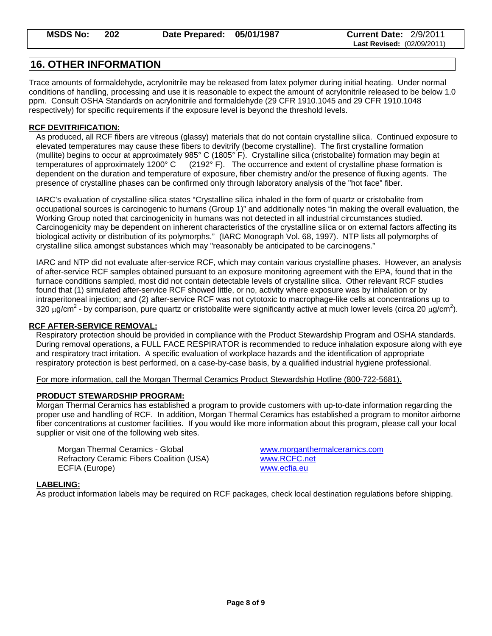# **16. OTHER INFORMATION**

Trace amounts of formaldehyde, acrylonitrile may be released from latex polymer during initial heating. Under normal conditions of handling, processing and use it is reasonable to expect the amount of acrylonitrile released to be below 1.0 ppm. Consult OSHA Standards on acrylonitrile and formaldehyde (29 CFR 1910.1045 and 29 CFR 1910.1048 respectively) for specific requirements if the exposure level is beyond the threshold levels.

### **RCF DEVITRIFICATION:**

As produced, all RCF fibers are vitreous (glassy) materials that do not contain crystalline silica.Continued exposure to elevated temperatures may cause these fibers to devitrify (become crystalline). The first crystalline formation (mullite) begins to occur at approximately 985° C (1805° F). Crystalline silica (cristobalite) formation may begin at<br>temperatures of approximately 1200° C (2192° F). The occurrence and extent of crystalline phase formatio  $(2192°)$  F). The occurrence and extent of crystalline phase formation is dependent on the duration and temperature of exposure, fiber chemistry and/or the presence of fluxing agents. The presence of crystalline phases can be confirmed only through laboratory analysis of the "hot face" fiber.

IARC's evaluation of crystalline silica states "Crystalline silica inhaled in the form of quartz or cristobalite from occupational sources is carcinogenic to humans (Group 1)" and additionally notes "in making the overall evaluation, the Working Group noted that carcinogenicity in humans was not detected in all industrial circumstances studied. Carcinogenicity may be dependent on inherent characteristics of the crystalline silica or on external factors affecting its biological activity or distribution of its polymorphs." (IARC Monograph Vol. 68, 1997). NTP lists all polymorphs of crystalline silica amongst substances which may "reasonably be anticipated to be carcinogens."

IARC and NTP did not evaluate after-service RCF, which may contain various crystalline phases. However, an analysis of after-service RCF samples obtained pursuant to an exposure monitoring agreement with the EPA, found that in the furnace conditions sampled, most did not contain detectable levels of crystalline silica. Other relevant RCF studies found that (1) simulated after-service RCF showed little, or no, activity where exposure was by inhalation or by intraperitoneal injection; and (2) after-service RCF was not cytotoxic to macrophage-like cells at concentrations up to 320  $\mu$ g/cm<sup>2</sup> - by comparison, pure quartz or cristobalite were significantly active at much lower levels (circa 20  $\mu$ g/cm<sup>2</sup>).

#### **RCF AFTER-SERVICE REMOVAL:**

Respiratory protection should be provided in compliance with the Product Stewardship Program and OSHA standards. During removal operations, a FULL FACE RESPIRATOR is recommended to reduce inhalation exposure along with eye and respiratory tract irritation. A specific evaluation of workplace hazards and the identification of appropriate respiratory protection is best performed, on a case-by-case basis, by a qualified industrial hygiene professional.

For more information, call the Morgan Thermal Ceramics Product Stewardship Hotline (800-722-5681).

#### **PRODUCT STEWARDSHIP PROGRAM:**

Morgan Thermal Ceramics has established a program to provide customers with up-to-date information regarding the proper use and handling of RCF. In addition, Morgan Thermal Ceramics has established a program to monitor airborne fiber concentrations at customer facilities. If you would like more information about this program, please call your local supplier or visit one of the following web sites.

 Morgan Thermal Ceramics - Global www.morganthermalceramics.com Refractory Ceramic Fibers Coalition (USA) www.RCFC.net ECFIA (Europe) www.ecfia.eu

#### **LABELING:**

As product information labels may be required on RCF packages, check local destination regulations before shipping.